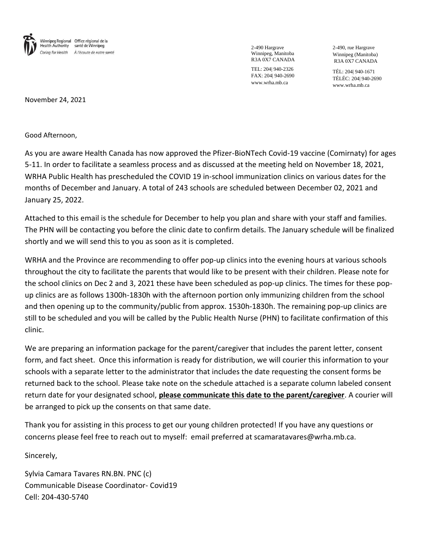

2-490 Hargrave Winnipeg, Manitoba R3A 0X7 CANADA

TEL: 204| 940-2326 FAX: 204| 940-2690 www.wrha.mb.ca

2-490, rue Hargrave Winnipeg (Manitoba) R3A 0X7 CANADA

TÉL: 204| 940-1671 TÉLÉC: 204| 940-2690 www.wrha.mb.ca

November 24, 2021

Good Afternoon,

As you are aware Health Canada has now approved the Pfizer-BioNTech Covid-19 vaccine (Comirnaty) for ages 5-11. In order to facilitate a seamless process and as discussed at the meeting held on November 18, 2021, WRHA Public Health has prescheduled the COVID 19 in-school immunization clinics on various dates for the months of December and January. A total of 243 schools are scheduled between December 02, 2021 and January 25, 2022.

Attached to this email is the schedule for December to help you plan and share with your staff and families. The PHN will be contacting you before the clinic date to confirm details. The January schedule will be finalized shortly and we will send this to you as soon as it is completed.

WRHA and the Province are recommending to offer pop-up clinics into the evening hours at various schools throughout the city to facilitate the parents that would like to be present with their children. Please note for the school clinics on Dec 2 and 3, 2021 these have been scheduled as pop-up clinics. The times for these popup clinics are as follows 1300h-1830h with the afternoon portion only immunizing children from the school and then opening up to the community/public from approx. 1530h-1830h. The remaining pop-up clinics are still to be scheduled and you will be called by the Public Health Nurse (PHN) to facilitate confirmation of this clinic.

We are preparing an information package for the parent/caregiver that includes the parent letter, consent form, and fact sheet. Once this information is ready for distribution, we will courier this information to your schools with a separate letter to the administrator that includes the date requesting the consent forms be returned back to the school. Please take note on the schedule attached is a separate column labeled consent return date for your designated school, **please communicate this date to the parent/caregiver**. A courier will be arranged to pick up the consents on that same date.

Thank you for assisting in this process to get our young children protected! If you have any questions or concerns please feel free to reach out to myself: email preferred at scamaratavares@wrha.mb.ca.

Sincerely,

Sylvia Camara Tavares RN.BN. PNC (c) Communicable Disease Coordinator- Covid19 Cell: 204-430-5740